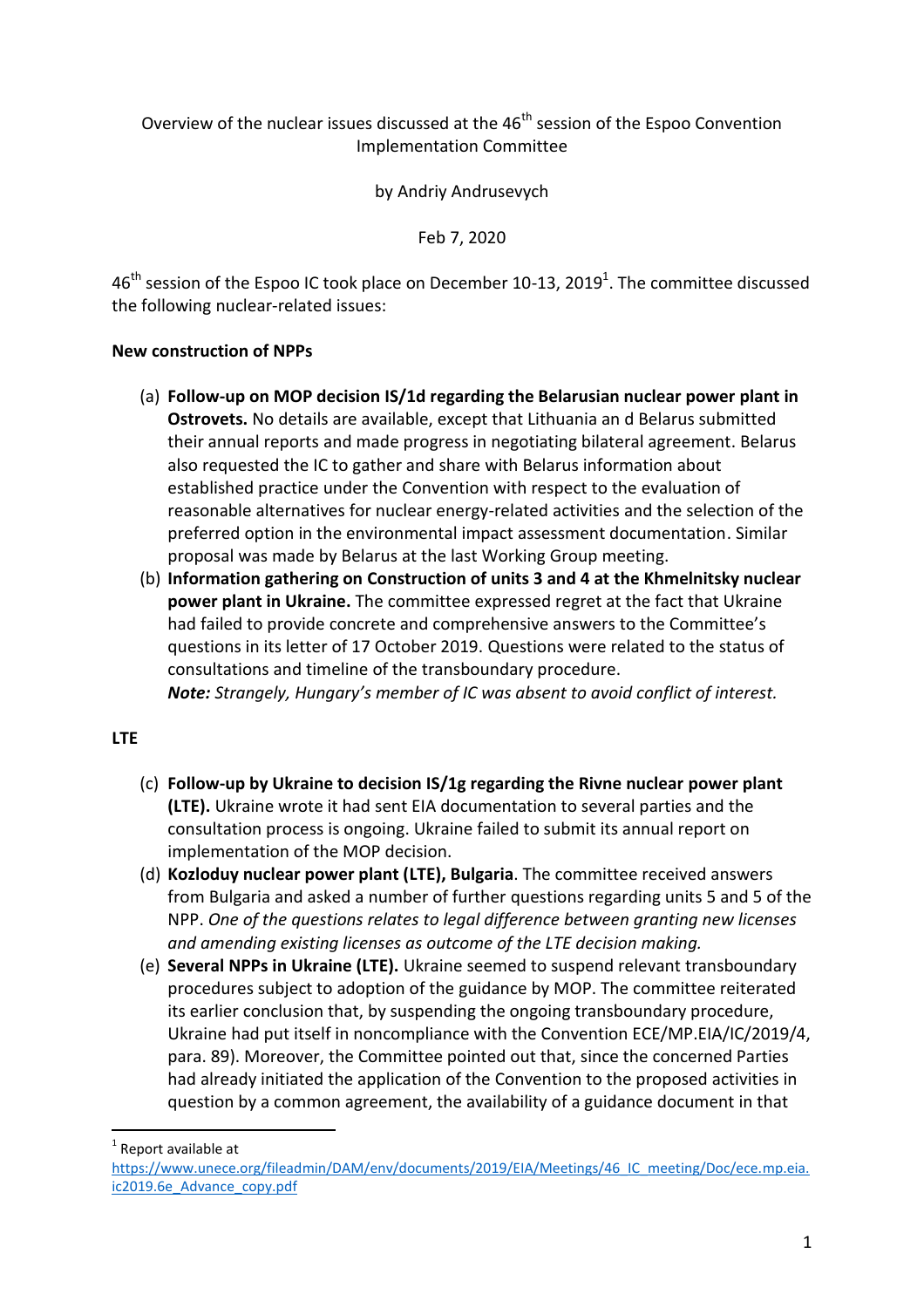## Overview of the nuclear issues discussed at the  $46<sup>th</sup>$  session of the Espoo Convention Implementation Committee

by Andriy Andrusevych

Feb 7, 2020

46<sup>th</sup> session of the Espoo IC took place on December 10-13, 2019<sup>1</sup>. The committee discussed the following nuclear-related issues:

## **New construction of NPPs**

- (a) **Follow-up on MOP decision IS/1d regarding the Belarusian nuclear power plant in Ostrovets.** No details are available, except that Lithuania an d Belarus submitted their annual reports and made progress in negotiating bilateral agreement. Belarus also requested the IC to gather and share with Belarus information about established practice under the Convention with respect to the evaluation of reasonable alternatives for nuclear energy-related activities and the selection of the preferred option in the environmental impact assessment documentation. Similar proposal was made by Belarus at the last Working Group meeting.
- (b) **Information gathering on Construction of units 3 and 4 at the Khmelnitsky nuclear power plant in Ukraine.** The committee expressed regret at the fact that Ukraine had failed to provide concrete and comprehensive answers to the Committee's questions in its letter of 17 October 2019. Questions were related to the status of consultations and timeline of the transboundary procedure. *Note: Strangely, Hungary's member of IC was absent to avoid conflict of interest.*

## **LTE**

- (c) **Follow-up by Ukraine to decision IS/1g regarding the Rivne nuclear power plant (LTE).** Ukraine wrote it had sent EIA documentation to several parties and the consultation process is ongoing. Ukraine failed to submit its annual report on implementation of the MOP decision.
- (d) **Kozloduy nuclear power plant (LTE), Bulgaria**. The committee received answers from Bulgaria and asked a number of further questions regarding units 5 and 5 of the NPP. *One of the questions relates to legal difference between granting new licenses and amending existing licenses as outcome of the LTE decision making.*
- (e) **Several NPPs in Ukraine (LTE).** Ukraine seemed to suspend relevant transboundary procedures subject to adoption of the guidance by MOP. The committee reiterated its earlier conclusion that, by suspending the ongoing transboundary procedure, Ukraine had put itself in noncompliance with the Convention ECE/MP.EIA/IC/2019/4, para. 89). Moreover, the Committee pointed out that, since the concerned Parties had already initiated the application of the Convention to the proposed activities in question by a common agreement, the availability of a guidance document in that

 $\overline{a}$ 

 $<sup>1</sup>$  Report available at</sup>

[https://www.unece.org/fileadmin/DAM/env/documents/2019/EIA/Meetings/46\\_IC\\_meeting/Doc/ece.mp.eia.](https://www.unece.org/fileadmin/DAM/env/documents/2019/EIA/Meetings/46_IC_meeting/Doc/ece.mp.eia.ic2019.6e_Advance_copy.pdf) [ic2019.6e\\_Advance\\_copy.pdf](https://www.unece.org/fileadmin/DAM/env/documents/2019/EIA/Meetings/46_IC_meeting/Doc/ece.mp.eia.ic2019.6e_Advance_copy.pdf)